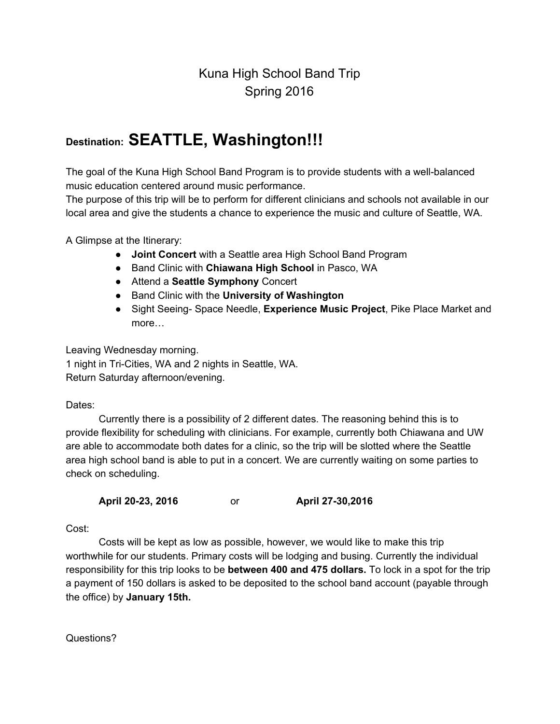## Kuna High School Band Trip Spring 2016

## **Destination:SEATTLE, Washington!!!**

The goal of the Kuna High School Band Program is to provide students with a well-balanced music education centered around music performance.

The purpose of this trip will be to perform for different clinicians and schools not available in our local area and give the students a chance to experience the music and culture of Seattle, WA.

A Glimpse at the Itinerary:

- **Joint Concert**with a Seattle area High School Band Program
- Band Clinic with **Chiawana High School**in Pasco, WA
- Attend a **Seattle Symphony**Concert
- Band Clinic with the **University of Washington**
- Sight Seeing Space Needle, **Experience Music Project**, Pike Place Market and more…

Leaving Wednesday morning. 1 night in Tri-Cities, WA and 2 nights in Seattle, WA. Return Saturday afternoon/evening.

Dates:

Currently there is a possibility of 2 different dates. The reasoning behind this is to provide flexibility for scheduling with clinicians. For example, currently both Chiawana and UW are able to accommodate both dates for a clinic, so the trip will be slotted where the Seattle area high school band is able to put in a concert. We are currently waiting on some parties to check on scheduling.

**April 2023, 2016** or **April 2730,2016**

Cost:

Costs will be kept as low as possible, however, we would like to make this trip worthwhile for our students. Primary costs will be lodging and busing. Currently the individual responsibility for this trip looks to be **between 400 and 475 dollars.**To lock in a spot for the trip a payment of 150 dollars is asked to be deposited to the school band account (payable through the office) by **January 15th.**

Questions?